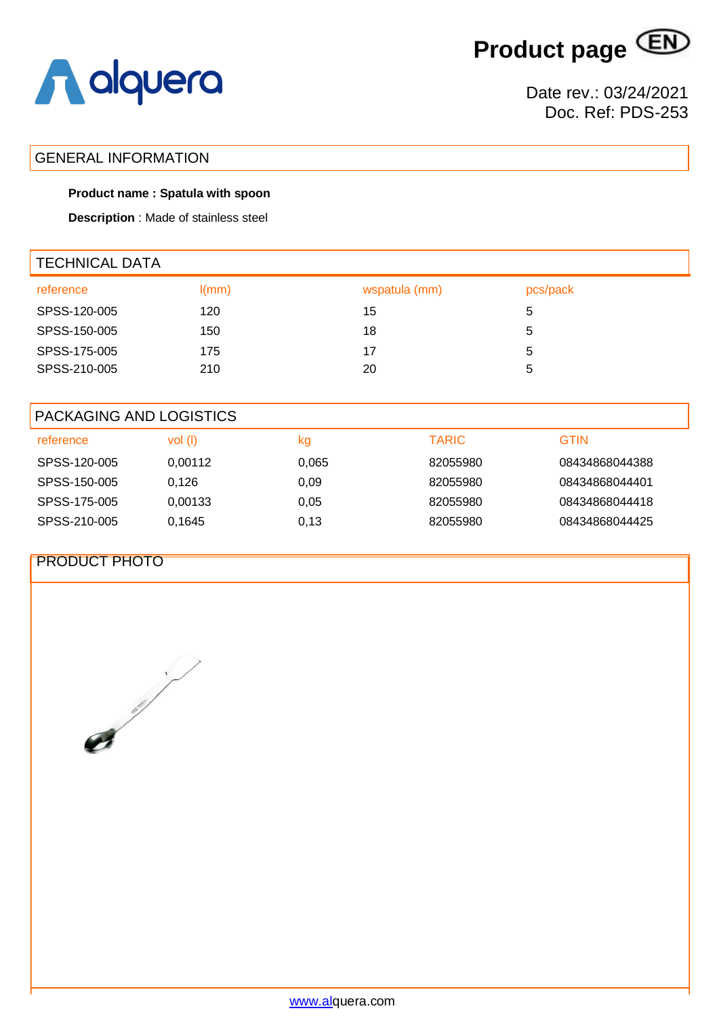**Product page**



## GENERAL INFORMATION

### **Product name : Spatula with spoon**

**Description** : Made of stainless steel

| <b>TECHNICAL DATA</b> |       |               |          |  |  |
|-----------------------|-------|---------------|----------|--|--|
| reference             | I(mm) | wspatula (mm) | pcs/pack |  |  |
| SPSS-120-005          | 120   | 15            | 5        |  |  |
| SPSS-150-005          | 150   | 18            | 5        |  |  |
| SPSS-175-005          | 175   | 17            | 5        |  |  |
| SPSS-210-005          | 210   | 20            | 5        |  |  |
|                       |       |               |          |  |  |

| PACKAGING AND LOGISTICS |         |       |              |                |
|-------------------------|---------|-------|--------------|----------------|
| reference               | vol(    | kg    | <b>TARIC</b> | <b>GTIN</b>    |
| SPSS-120-005            | 0,00112 | 0,065 | 82055980     | 08434868044388 |
| SPSS-150-005            | 0.126   | 0.09  | 82055980     | 08434868044401 |
| SPSS-175-005            | 0.00133 | 0.05  | 82055980     | 08434868044418 |
| SPSS-210-005            | 0.1645  | 0,13  | 82055980     | 08434868044425 |

## PRODUCT PHOTO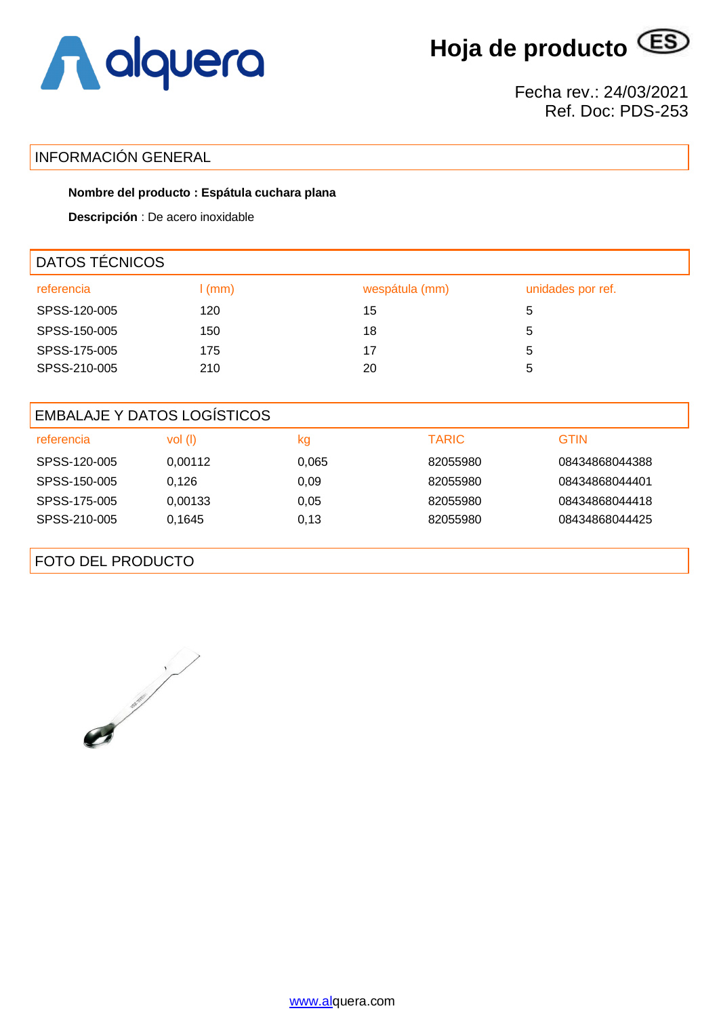

**Hoja de producto**

Fecha rev.: 24/03/2021 Ref. Doc: PDS-253

# INFORMACIÓN GENERAL

### **Nombre del producto : Espátula cuchara plana**

**Descripción** : De acero inoxidable

| <b>DATOS TÉCNICOS</b> |                   |                |                   |  |
|-----------------------|-------------------|----------------|-------------------|--|
| referencia            | $\mathsf{I}$ (mm) | wespátula (mm) | unidades por ref. |  |
| SPSS-120-005          | 120               | 15             | 5                 |  |
| SPSS-150-005          | 150               | 18             | 5                 |  |
| SPSS-175-005          | 175               | 17             | 5                 |  |
| SPSS-210-005          | 210               | 20             | 5                 |  |
|                       |                   |                |                   |  |

| <b>EMBALAJE Y DATOS LOGISTICOS</b> |           |       |              |                |  |
|------------------------------------|-----------|-------|--------------|----------------|--|
| referencia                         | $vol$ (l) | kg    | <b>TARIC</b> | <b>GTIN</b>    |  |
| SPSS-120-005                       | 0.00112   | 0,065 | 82055980     | 08434868044388 |  |
| SPSS-150-005                       | 0,126     | 0.09  | 82055980     | 08434868044401 |  |
| SPSS-175-005                       | 0,00133   | 0,05  | 82055980     | 08434868044418 |  |
| SPSS-210-005                       | 0.1645    | 0,13  | 82055980     | 08434868044425 |  |
|                                    |           |       |              |                |  |

FOTO DEL PRODUCTO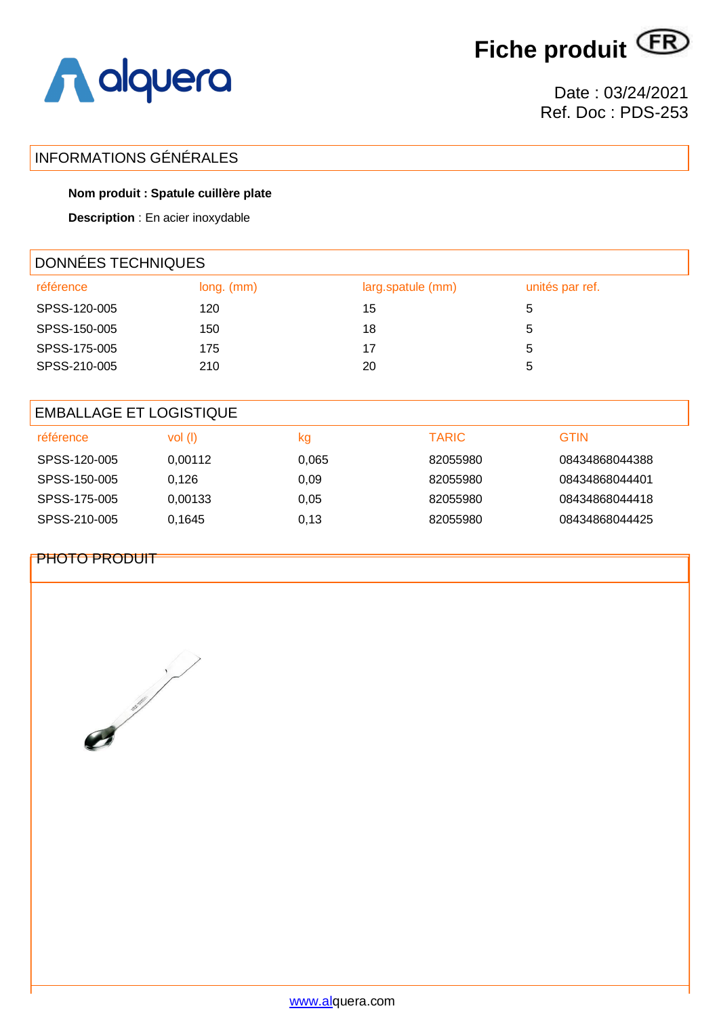[www.alquera.com](http://www.alquera.com/)



Date : 03/24/2021 Ref. Doc : PDS-253

# INFORMATIONS GÉNÉRALES

## **Nom produit : Spatule cuillère plate**

**Description** : En acier inoxydable

| DONNÉES TECHNIQUES |              |                   |                 |  |
|--------------------|--------------|-------------------|-----------------|--|
| référence          | $long.$ (mm) | larg.spatule (mm) | unités par ref. |  |
| SPSS-120-005       | 120          | 15                | 5               |  |
| SPSS-150-005       | 150          | 18                | 5               |  |
| SPSS-175-005       | 175          | 17                | 5               |  |
| SPSS-210-005       | 210          | 20                | 5               |  |

| <b>EMBALLAGE ET LOGISTIQUE</b> |         |       |              |                |  |
|--------------------------------|---------|-------|--------------|----------------|--|
| référence                      | vol (I) | kg    | <b>TARIC</b> | <b>GTIN</b>    |  |
| SPSS-120-005                   | 0.00112 | 0,065 | 82055980     | 08434868044388 |  |
| SPSS-150-005                   | 0.126   | 0.09  | 82055980     | 08434868044401 |  |
| SPSS-175-005                   | 0.00133 | 0.05  | 82055980     | 08434868044418 |  |
| SPSS-210-005                   | 0.1645  | 0,13  | 82055980     | 08434868044425 |  |

## PHOTO PRODUIT